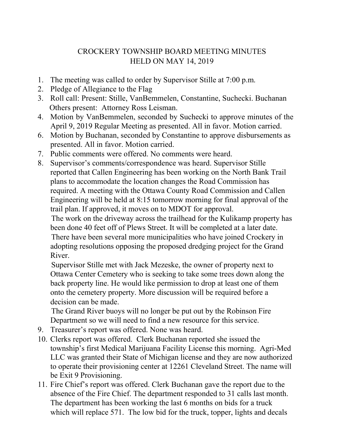## CROCKERY TOWNSHIP BOARD MEETING MINUTES HELD ON MAY 14, 2019

- 1. The meeting was called to order by Supervisor Stille at 7:00 p.m.
- 2. Pledge of Allegiance to the Flag
- 3. Roll call: Present: Stille, VanBemmelen, Constantine, Suchecki. Buchanan Others present: Attorney Ross Leisman.
- 4. Motion by VanBemmelen, seconded by Suchecki to approve minutes of the April 9, 2019 Regular Meeting as presented. All in favor. Motion carried.
- 6. Motion by Buchanan, seconded by Constantine to approve disbursements as presented. All in favor. Motion carried.
- 7. Public comments were offered. No comments were heard.
- 8. Supervisor's comments/correspondence was heard. Supervisor Stille reported that Callen Engineering has been working on the North Bank Trail plans to accommodate the location changes the Road Commission has required. A meeting with the Ottawa County Road Commission and Callen Engineering will be held at 8:15 tomorrow morning for final approval of the trail plan. If approved, it moves on to MDOT for approval.

 The work on the driveway across the trailhead for the Kulikamp property has been done 40 feet off of Plews Street. It will be completed at a later date. There have been several more municipalities who have joined Crockery in adopting resolutions opposing the proposed dredging project for the Grand River.

 Supervisor Stille met with Jack Mezeske, the owner of property next to Ottawa Center Cemetery who is seeking to take some trees down along the back property line. He would like permission to drop at least one of them onto the cemetery property. More discussion will be required before a decision can be made.

 The Grand River buoys will no longer be put out by the Robinson Fire Department so we will need to find a new resource for this service.

- 9. Treasurer's report was offered. None was heard.
- 10. Clerks report was offered. Clerk Buchanan reported she issued the township's first Medical Marijuana Facility License this morning. Agri-Med LLC was granted their State of Michigan license and they are now authorized to operate their provisioning center at 12261 Cleveland Street. The name will be Exit 9 Provisioning.
- 11. Fire Chief's report was offered. Clerk Buchanan gave the report due to the absence of the Fire Chief. The department responded to 31 calls last month. The department has been working the last 6 months on bids for a truck which will replace 571. The low bid for the truck, topper, lights and decals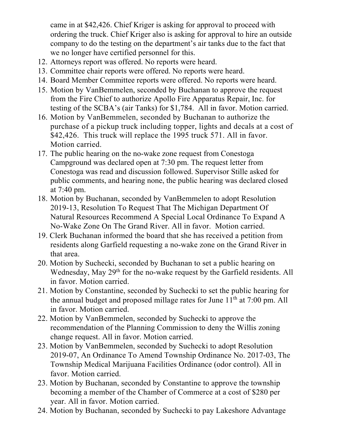came in at \$42,426. Chief Kriger is asking for approval to proceed with ordering the truck. Chief Kriger also is asking for approval to hire an outside company to do the testing on the department's air tanks due to the fact that we no longer have certified personnel for this.

- 12. Attorneys report was offered. No reports were heard.
- 13. Committee chair reports were offered. No reports were heard.
- 14. Board Member Committee reports were offered. No reports were heard.
- 15. Motion by VanBemmelen, seconded by Buchanan to approve the request from the Fire Chief to authorize Apollo Fire Apparatus Repair, Inc. for testing of the SCBA's (air Tanks) for \$1,784. All in favor. Motion carried.
- 16. Motion by VanBemmelen, seconded by Buchanan to authorize the purchase of a pickup truck including topper, lights and decals at a cost of \$42,426. This truck will replace the 1995 truck 571. All in favor. Motion carried.
- 17. The public hearing on the no-wake zone request from Conestoga Campground was declared open at 7:30 pm. The request letter from Conestoga was read and discussion followed. Supervisor Stille asked for public comments, and hearing none, the public hearing was declared closed at 7:40 pm.
- 18. Motion by Buchanan, seconded by VanBemmelen to adopt Resolution 2019-13, Resolution To Request That The Michigan Department Of Natural Resources Recommend A Special Local Ordinance To Expand A No-Wake Zone On The Grand River. All in favor. Motion carried.
- 19. Clerk Buchanan informed the board that she has received a petition from residents along Garfield requesting a no-wake zone on the Grand River in that area.
- 20. Motion by Suchecki, seconded by Buchanan to set a public hearing on Wednesday, May 29<sup>th</sup> for the no-wake request by the Garfield residents. All in favor. Motion carried.
- 21. Motion by Constantine, seconded by Suchecki to set the public hearing for the annual budget and proposed millage rates for June  $11<sup>th</sup>$  at 7:00 pm. All in favor. Motion carried.
- 22. Motion by VanBemmelen, seconded by Suchecki to approve the recommendation of the Planning Commission to deny the Willis zoning change request. All in favor. Motion carried.
- 23. Motion by VanBemmelen, seconded by Suchecki to adopt Resolution 2019-07, An Ordinance To Amend Township Ordinance No. 2017-03, The Township Medical Marijuana Facilities Ordinance (odor control). All in favor. Motion carried.
- 23. Motion by Buchanan, seconded by Constantine to approve the township becoming a member of the Chamber of Commerce at a cost of \$280 per year. All in favor. Motion carried.
- 24. Motion by Buchanan, seconded by Suchecki to pay Lakeshore Advantage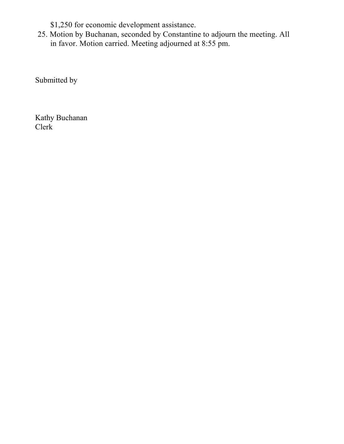\$1,250 for economic development assistance.

25. Motion by Buchanan, seconded by Constantine to adjourn the meeting. All in favor. Motion carried. Meeting adjourned at 8:55 pm.

Submitted by

Kathy Buchanan Clerk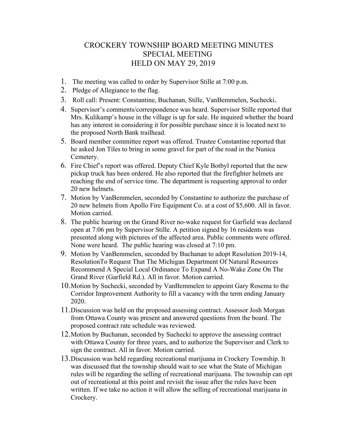## CROCKERY TOWNSHIP BOARD MEETING MINUTES SPECIAL MEETING HELD ON MAY 29, 2019

- 1. The meeting was called to order by Supervisor Stille at 7:00 p.m.
- 2. Pledge of Allegiance to the flag.
- 3. Roll call: Present: Constantine, Buchanan, Stille, VanBemmelen, Suchecki.
- 4. Supervisor's comments/correspondence was heard. Supervisor Stille reported that Mrs. Kulikamp's house in the village is up for sale. He inquired whether the board has any interest in considering it for possible purchase since it is located next to the proposed North Bank trailhead.
- 5. Board member committee report was offered. Trustee Constantine reported that he asked Jon Tiles to bring in some gravel for part of the road in the Nunica Cemetery.
- 6. Fire Chief's report was offered. Deputy Chief Kyle Botbyl reported that the new pickup truck has been ordered. He also reported that the firefighter helmets are reaching the end of service time. The department is requesting approval to order 20 new helmets.
- 7. Motion by VanBemmelen, seconded by Constantine to authorize the purchase of 20 new helmets from Apollo Fire Equipment Co. at a cost of \$5,600. All in favor. Motion carried.
- 8. The public hearing on the Grand River no-wake request for Garfield was declared open at 7:06 pm by Supervisor Stille. A petition signed by 16 residents was presented along with pictures of the affected area. Public comments were offered. None were heard. The public hearing was closed at 7:10 pm.
- 9. Motion by VanBemmelen, seconded by Buchanan to adopt Resolution 2019-14, ResolutionTo Request That The Michigan Department Of Natural Resources Recommend A Special Local Ordinance To Expand A No-Wake Zone On The Grand River (Garfield Rd.). All in favor. Motion carried.
- 10.Motion by Suchecki, seconded by VanBemmelen to appoint Gary Rosema to the Corridor Improvement Authority to fill a vacancy with the term ending January 2020.
- 11.Discussion was held on the proposed assessing contract. Assessor Josh Morgan from Ottawa County was present and answered questions from the board. The proposed contract rate schedule was reviewed.
- 12.Motion by Buchanan, seconded by Suchecki to approve the assessing contract with Ottawa County for three years, and to authorize the Supervisor and Clerk to sign the contract. All in favor. Motion carried.
- 13.Discussion was held regarding recreational marijuana in Crockery Township. It was discussed that the township should wait to see what the State of Michigan rules will be regarding the selling of recreational marijuana. The township can opt out of recreational at this point and revisit the issue after the rules have been written. If we take no action it will allow the selling of recreational marijuana in Crockery.